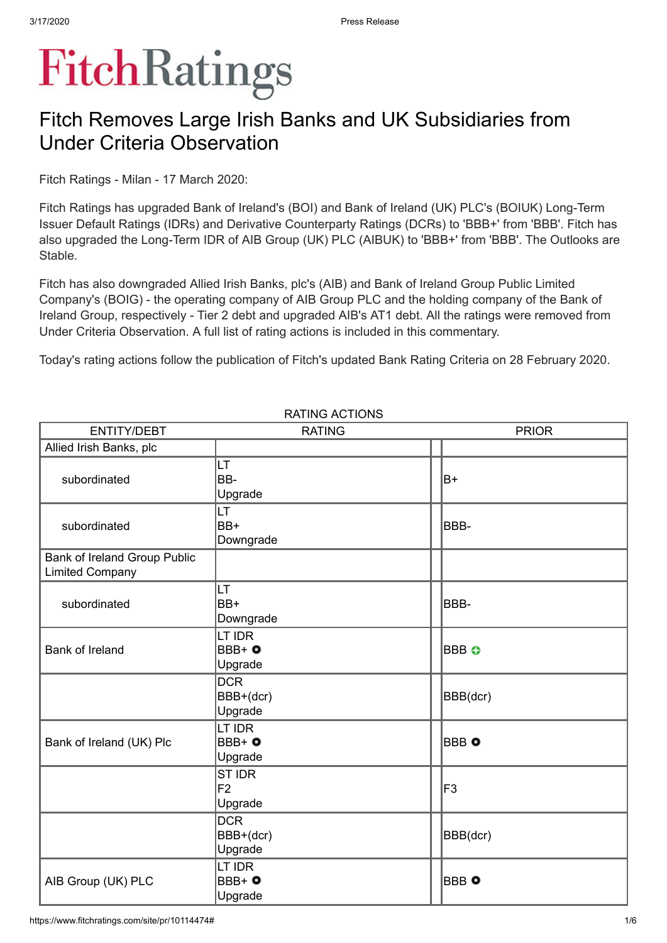# **FitchRatings**

# Fitch Removes Large Irish Banks and UK Subsidiaries from Under Criteria Observation

Fitch Ratings - Milan - 17 March 2020:

Fitch Ratings has upgraded Bank of Ireland's (BOI) and Bank of Ireland (UK) PLC's (BOIUK) Long-Term Issuer Default Ratings (IDRs) and Derivative Counterparty Ratings (DCRs) to 'BBB+' from 'BBB'. Fitch has also upgraded the Long-Term IDR of AIB Group (UK) PLC (AIBUK) to 'BBB+' from 'BBB'. The Outlooks are Stable.

Fitch has also downgraded Allied Irish Banks, plc's (AIB) and Bank of Ireland Group Public Limited Company's (BOIG) - the operating company of AIB Group PLC and the holding company of the Bank of Ireland Group, respectively - Tier 2 debt and upgraded AIB's AT1 debt. All the ratings were removed from Under Criteria Observation. A full list of rating actions is included in this commentary.

Today's rating actions follow the publication of Fitch's updated Bank Rating Criteria on 28 February 2020.

| <b>ENTITY/DEBT</b>                                            | <b>RATING</b>                       | <b>PRIOR</b> |
|---------------------------------------------------------------|-------------------------------------|--------------|
| Allied Irish Banks, plc                                       |                                     |              |
| subordinated                                                  | LT<br>BB-<br>Upgrade                | B+           |
| subordinated                                                  | LT<br>BB+<br>Downgrade              | IBBB-        |
| <b>Bank of Ireland Group Public</b><br><b>Limited Company</b> |                                     |              |
| subordinated                                                  | LT<br>BB+<br>Downgrade              | IBBB-        |
| <b>Bank of Ireland</b>                                        | LT IDR<br>$BBB + 0$<br>Upgrade      | BBB O        |
|                                                               | <b>DCR</b><br>BBB+(dcr)<br>Upgrade  | BBB(dcr)     |
| Bank of Ireland (UK) Plc                                      | LT IDR<br>$BBB + 0$<br>Upgrade      | BBB O        |
|                                                               | ST IDR<br>F <sub>2</sub><br>Upgrade | lF3          |
|                                                               | <b>DCR</b><br>BBB+(dcr)<br>Upgrade  | BBB(dcr)     |
| AIB Group (UK) PLC                                            | LT IDR<br>$BBB+o$<br>Upgrade        | BBB O        |

RATING ACTIONS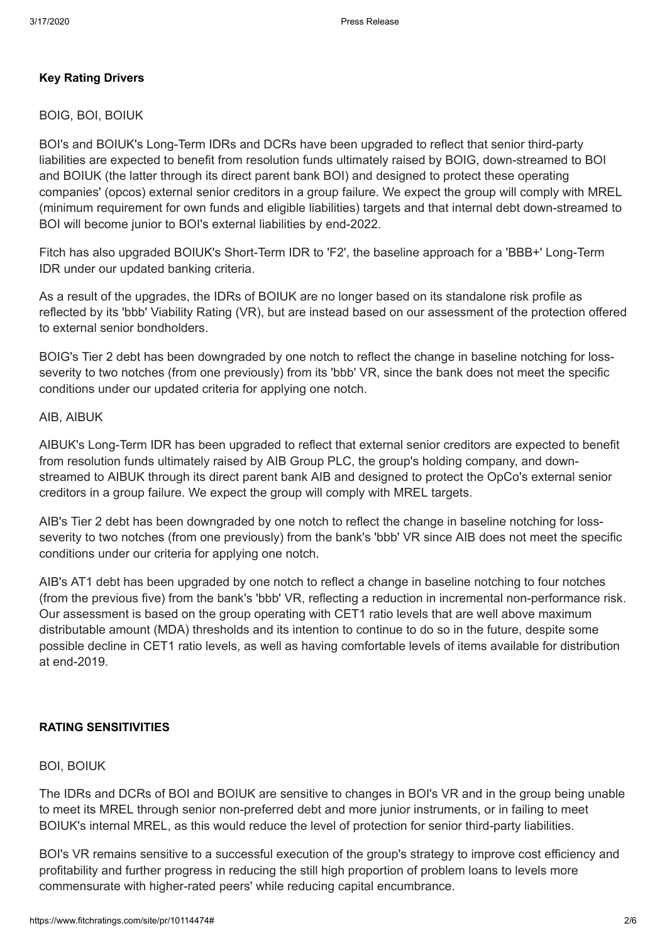#### **Key Rating Drivers**

#### BOIG, BOI, BOIUK

BOI's and BOIUK's Long-Term IDRs and DCRs have been upgraded to reflect that senior third-party liabilities are expected to benefit from resolution funds ultimately raised by BOIG, down-streamed to BOI and BOIUK (the latter through its direct parent bank BOI) and designed to protect these operating companies' (opcos) external senior creditors in a group failure. We expect the group will comply with MREL (minimum requirement for own funds and eligible liabilities) targets and that internal debt down-streamed to BOI will become junior to BOI's external liabilities by end-2022.

Fitch has also upgraded BOIUK's Short-Term IDR to 'F2', the baseline approach for a 'BBB+' Long-Term IDR under our updated banking criteria.

As a result of the upgrades, the IDRs of BOIUK are no longer based on its standalone risk profile as reflected by its 'bbb' Viability Rating (VR), but are instead based on our assessment of the protection offered to external senior bondholders.

BOIG's Tier 2 debt has been downgraded by one notch to reflect the change in baseline notching for lossseverity to two notches (from one previously) from its 'bbb' VR, since the bank does not meet the specific conditions under our updated criteria for applying one notch.

#### AIB, AIBUK

AIBUK's Long-Term IDR has been upgraded to reflect that external senior creditors are expected to benefit from resolution funds ultimately raised by AIB Group PLC, the group's holding company, and downstreamed to AIBUK through its direct parent bank AIB and designed to protect the OpCo's external senior creditors in a group failure. We expect the group will comply with MREL targets.

AIB's Tier 2 debt has been downgraded by one notch to reflect the change in baseline notching for lossseverity to two notches (from one previously) from the bank's 'bbb' VR since AIB does not meet the specific conditions under our criteria for applying one notch.

AIB's AT1 debt has been upgraded by one notch to reflect a change in baseline notching to four notches (from the previous five) from the bank's 'bbb' VR, reflecting a reduction in incremental non-performance risk. Our assessment is based on the group operating with CET1 ratio levels that are well above maximum distributable amount (MDA) thresholds and its intention to continue to do so in the future, despite some possible decline in CET1 ratio levels, as well as having comfortable levels of items available for distribution at end-2019.

#### **RATING SENSITIVITIES**

#### BOI, BOIUK

The IDRs and DCRs of BOI and BOIUK are sensitive to changes in BOI's VR and in the group being unable to meet its MREL through senior non-preferred debt and more junior instruments, or in failing to meet BOIUK's internal MREL, as this would reduce the level of protection for senior third-party liabilities.

BOI's VR remains sensitive to a successful execution of the group's strategy to improve cost efficiency and profitability and further progress in reducing the still high proportion of problem loans to levels more commensurate with higher-rated peers' while reducing capital encumbrance.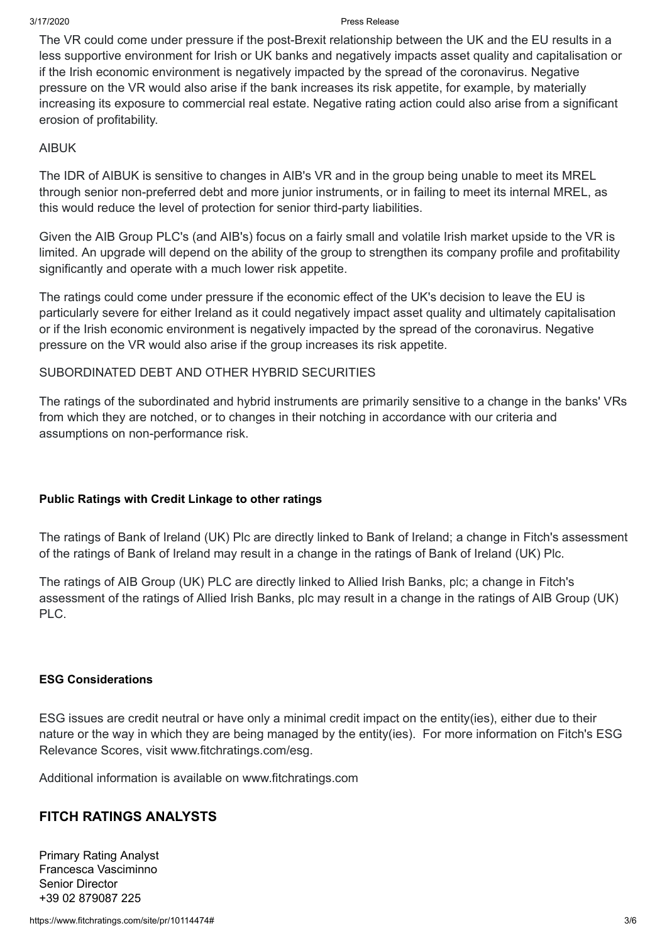#### 3/17/2020 Press Release

The VR could come under pressure if the post-Brexit relationship between the UK and the EU results in a less supportive environment for Irish or UK banks and negatively impacts asset quality and capitalisation or if the Irish economic environment is negatively impacted by the spread of the coronavirus. Negative pressure on the VR would also arise if the bank increases its risk appetite, for example, by materially increasing its exposure to commercial real estate. Negative rating action could also arise from a significant erosion of profitability.

#### AIBUK

The IDR of AIBUK is sensitive to changes in AIB's VR and in the group being unable to meet its MREL through senior non-preferred debt and more junior instruments, or in failing to meet its internal MREL, as this would reduce the level of protection for senior third-party liabilities.

Given the AIB Group PLC's (and AIB's) focus on a fairly small and volatile Irish market upside to the VR is limited. An upgrade will depend on the ability of the group to strengthen its company profile and profitability significantly and operate with a much lower risk appetite.

The ratings could come under pressure if the economic effect of the UK's decision to leave the EU is particularly severe for either Ireland as it could negatively impact asset quality and ultimately capitalisation or if the Irish economic environment is negatively impacted by the spread of the coronavirus. Negative pressure on the VR would also arise if the group increases its risk appetite.

## SUBORDINATED DEBT AND OTHER HYBRID SECURITIES

The ratings of the subordinated and hybrid instruments are primarily sensitive to a change in the banks' VRs from which they are notched, or to changes in their notching in accordance with our criteria and assumptions on non-performance risk.

## **Public Ratings with Credit Linkage to other ratings**

The ratings of Bank of Ireland (UK) Plc are directly linked to Bank of Ireland; a change in Fitch's assessment of the ratings of Bank of Ireland may result in a change in the ratings of Bank of Ireland (UK) Plc.

The ratings of AIB Group (UK) PLC are directly linked to Allied Irish Banks, plc; a change in Fitch's assessment of the ratings of Allied Irish Banks, plc may result in a change in the ratings of AIB Group (UK) PLC.

#### **ESG Considerations**

ESG issues are credit neutral or have only a minimal credit impact on the entity(ies), either due to their nature or the way in which they are being managed by the entity(ies). For more information on Fitch's ESG Relevance Scores, visit [www.fitchratings.com/esg.](https://www.fitchratings.com/esg)

Additional information is available on www.fitchratings.com

# **FITCH RATINGS ANALYSTS**

Primary Rating Analyst Francesca Vasciminno Senior Director +39 02 879087 225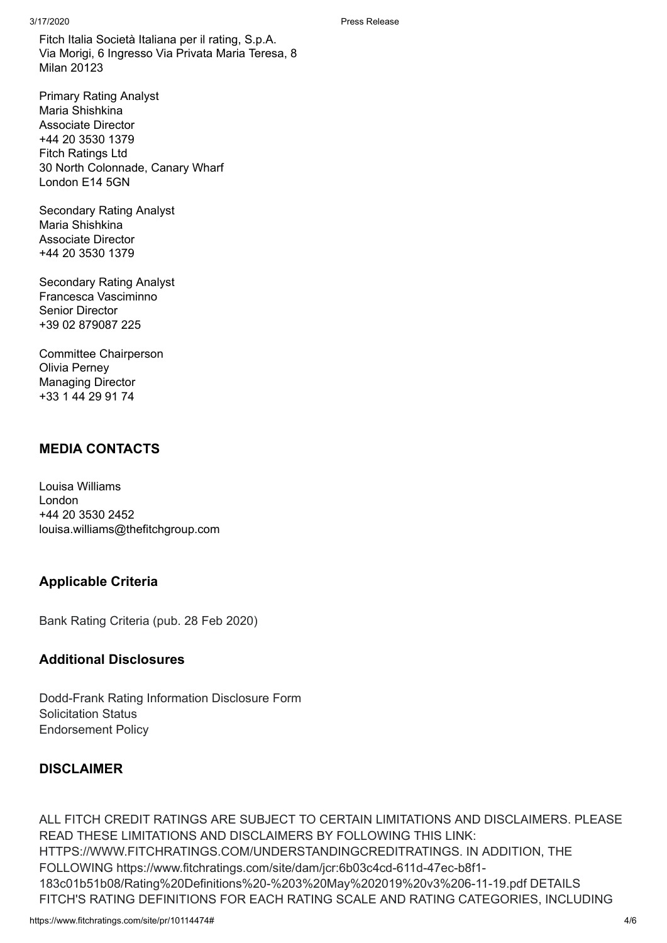Fitch Italia Società Italiana per il rating, S.p.A. Via Morigi, 6 Ingresso Via Privata Maria Teresa, 8 Milan 20123

Primary Rating Analyst Maria Shishkina Associate Director +44 20 3530 1379 Fitch Ratings Ltd 30 North Colonnade, Canary Wharf London E14 5GN

Secondary Rating Analyst Maria Shishkina Associate Director +44 20 3530 1379

Secondary Rating Analyst Francesca Vasciminno Senior Director +39 02 879087 225

Committee Chairperson Olivia Perney Managing Director +33 1 44 29 91 74

# **MEDIA CONTACTS**

Louisa Williams London +44 20 3530 2452 louisa.williams@thefitchgroup.com

# **Applicable Criteria**

Bank Rating [Criteria](https://www.fitchratings.com/site/re/10110041) (pub. 28 Feb 2020)

## **Additional Disclosures**

[Dodd-Frank](https://www.fitchratings.com/site/dodd-frank-disclosure/10114474) Rating Information Disclosure Form Solicitation Status [Endorsement](https://www.fitchratings.com/site/regulatory) Policy

# **DISCLAIMER**

ALL FITCH CREDIT RATINGS ARE SUBJECT TO CERTAIN LIMITATIONS AND DISCLAIMERS. PLEASE READ THESE LIMITATIONS AND DISCLAIMERS BY FOLLOWING THIS LINK: [HTTPS://WWW.FITCHRATINGS.COM/UNDERSTANDINGCREDITRATINGS](https://www.fitchratings.com/UNDERSTANDINGCREDITRATINGS). IN ADDITION, THE FOLLOWING https://www.fitchratings.com/site/dam/jcr:6b03c4cd-611d-47ec-b8f1- 183c01b51b08/Rating%20Definitions%20-%203%20May%202019%20v3%206-11-19.pdf DETAILS FITCH'S RATING DEFINITIONS FOR EACH RATING SCALE AND RATING CATEGORIES, INCLUDING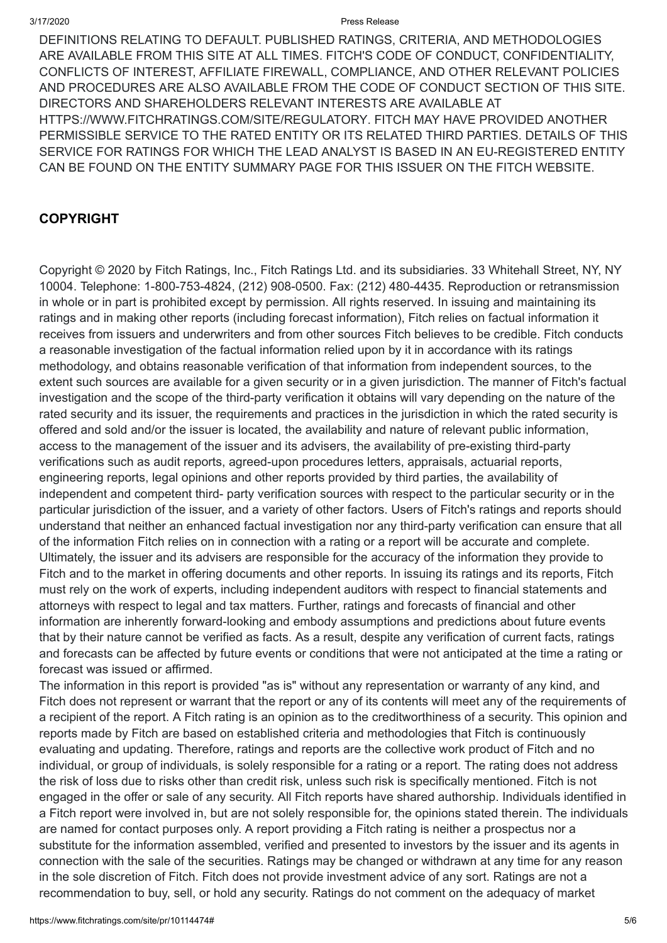#### 3/17/2020 Press Release

DEFINITIONS RELATING TO DEFAULT. PUBLISHED RATINGS, CRITERIA, AND METHODOLOGIES ARE AVAILABLE FROM THIS SITE AT ALL TIMES. FITCH'S CODE OF CONDUCT, CONFIDENTIALITY, CONFLICTS OF INTEREST, AFFILIATE FIREWALL, COMPLIANCE, AND OTHER RELEVANT POLICIES AND PROCEDURES ARE ALSO AVAILABLE FROM THE CODE OF CONDUCT SECTION OF THIS SITE. DIRECTORS AND SHAREHOLDERS RELEVANT INTERESTS ARE AVAILABLE AT [HTTPS://WWW.FITCHRATINGS.COM/SITE/REGULATORY](https://www.fitchratings.com/site/regulatory). FITCH MAY HAVE PROVIDED ANOTHER PERMISSIBLE SERVICE TO THE RATED ENTITY OR ITS RELATED THIRD PARTIES. DETAILS OF THIS SERVICE FOR RATINGS FOR WHICH THE LEAD ANALYST IS BASED IN AN EU-REGISTERED ENTITY CAN BE FOUND ON THE ENTITY SUMMARY PAGE FOR THIS ISSUER ON THE FITCH WEBSITE.

# **COPYRIGHT**

Copyright © 2020 by Fitch Ratings, Inc., Fitch Ratings Ltd. and its subsidiaries. 33 Whitehall Street, NY, NY 10004. Telephone: 1-800-753-4824, (212) 908-0500. Fax: (212) 480-4435. Reproduction or retransmission in whole or in part is prohibited except by permission. All rights reserved. In issuing and maintaining its ratings and in making other reports (including forecast information), Fitch relies on factual information it receives from issuers and underwriters and from other sources Fitch believes to be credible. Fitch conducts a reasonable investigation of the factual information relied upon by it in accordance with its ratings methodology, and obtains reasonable verification of that information from independent sources, to the extent such sources are available for a given security or in a given jurisdiction. The manner of Fitch's factual investigation and the scope of the third-party verification it obtains will vary depending on the nature of the rated security and its issuer, the requirements and practices in the jurisdiction in which the rated security is offered and sold and/or the issuer is located, the availability and nature of relevant public information, access to the management of the issuer and its advisers, the availability of pre-existing third-party verifications such as audit reports, agreed-upon procedures letters, appraisals, actuarial reports, engineering reports, legal opinions and other reports provided by third parties, the availability of independent and competent third- party verification sources with respect to the particular security or in the particular jurisdiction of the issuer, and a variety of other factors. Users of Fitch's ratings and reports should understand that neither an enhanced factual investigation nor any third-party verification can ensure that all of the information Fitch relies on in connection with a rating or a report will be accurate and complete. Ultimately, the issuer and its advisers are responsible for the accuracy of the information they provide to Fitch and to the market in offering documents and other reports. In issuing its ratings and its reports, Fitch must rely on the work of experts, including independent auditors with respect to financial statements and attorneys with respect to legal and tax matters. Further, ratings and forecasts of financial and other information are inherently forward-looking and embody assumptions and predictions about future events that by their nature cannot be verified as facts. As a result, despite any verification of current facts, ratings and forecasts can be affected by future events or conditions that were not anticipated at the time a rating or forecast was issued or affirmed.

The information in this report is provided "as is" without any representation or warranty of any kind, and Fitch does not represent or warrant that the report or any of its contents will meet any of the requirements of a recipient of the report. A Fitch rating is an opinion as to the creditworthiness of a security. This opinion and reports made by Fitch are based on established criteria and methodologies that Fitch is continuously evaluating and updating. Therefore, ratings and reports are the collective work product of Fitch and no individual, or group of individuals, is solely responsible for a rating or a report. The rating does not address the risk of loss due to risks other than credit risk, unless such risk is specifically mentioned. Fitch is not engaged in the offer or sale of any security. All Fitch reports have shared authorship. Individuals identified in a Fitch report were involved in, but are not solely responsible for, the opinions stated therein. The individuals are named for contact purposes only. A report providing a Fitch rating is neither a prospectus nor a substitute for the information assembled, verified and presented to investors by the issuer and its agents in connection with the sale of the securities. Ratings may be changed or withdrawn at any time for any reason in the sole discretion of Fitch. Fitch does not provide investment advice of any sort. Ratings are not a recommendation to buy, sell, or hold any security. Ratings do not comment on the adequacy of market